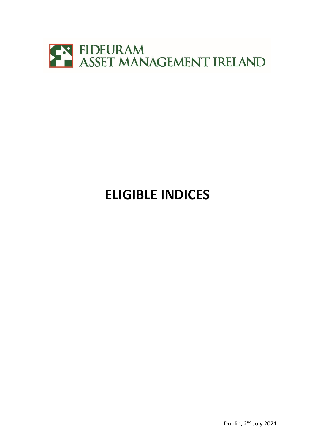

## **ELIGIBLE INDICES**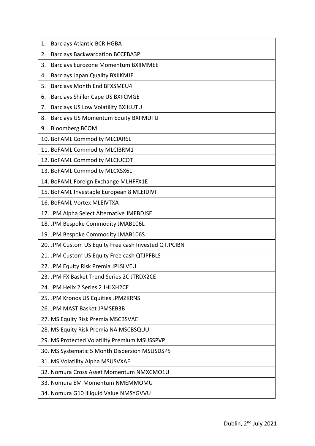| <b>Barclays Atlantic BCRIHGBA</b><br>1.              |
|------------------------------------------------------|
| <b>Barclays Backwardation BCCFBA3P</b><br>2.         |
| <b>Barclays Eurozone Momentum BXIIMMEE</b><br>3.     |
| <b>Barclays Japan Quality BXIIKMJE</b><br>4.         |
| Barclays Month End BFXSMEU4<br>5.                    |
| <b>Barclays Shiller Cape US BXIICMGE</b><br>6.       |
| <b>Barclays US Low Volatility BXIILUTU</b><br>7.     |
| Barclays US Momentum Equity BXIIMUTU<br>8.           |
| <b>Bloomberg BCOM</b><br>9.                          |
| 10. BoFAML Commodity MLCIAR6L                        |
| 11. BoFAML Commodity MLCIBRM1                        |
| 12. BoFAML Commodity MLCIUCOT                        |
| 13. BoFAML Commodity MLCXSX6L                        |
| 14. BoFAML Foreign Exchange MLHFFX1E                 |
| 15. BoFAML Investable European 8 MLEIDIVI            |
| 16. BoFAML Vortex MLEIVTXA                           |
| 17. JPM Alpha Select Alternative JMEBDJSE            |
| 18. JPM Bespoke Commodity JMAB106L                   |
| 19. JPM Bespoke Commodity JMAB106S                   |
| 20. JPM Custom US Equity Free cash Invested QTJPCIBN |
| 21. JPM Custom US Equity Free cash QTJPFBLS          |
| 22. JPM Equity Risk Premia JPLSLVEU                  |
| 23. JPM FX Basket Trend Series 2C JTRDX2CE           |
| 24. JPM Helix 2 Series 2 JHLXH2CE                    |
| 25. JPM Kronos US Equities JPMZKRNS                  |
| 26. JPM MAST Basket JPMSEB3B                         |
| 27. MS Equity Risk Premia MSCBSVAE                   |
| 28. MS Equity Risk Premia NA MSCBSQUU                |
| 29. MS Protected Volatility Premium MSUSSPVP         |
| 30. MS Systematic 5 Month Dispersion MSUSDSP5        |
| 31. MS Volatility Alpha MSUSVXAE                     |
| 32. Nomura Cross Asset Momentum NMXCMO1U             |
| 33. Nomura EM Momentum NMEMMOMU                      |
| 34. Nomura G10 Illiquid Value NMSYGVVU               |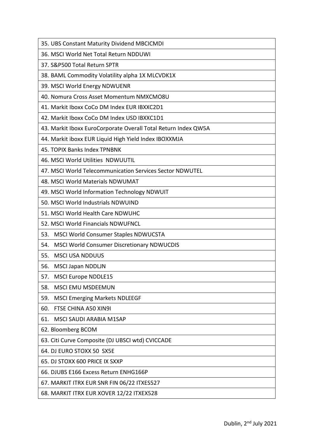| 35. UBS Constant Maturity Dividend MBCICMDI |
|---------------------------------------------|
|---------------------------------------------|

36. MSCI World Net Total Return NDDUWI

37. S&P500 Total Return SPTR

38. BAML Commodity Volatility alpha 1X MLCVDK1X

39. MSCI World Energy NDWUENR

40. Nomura Cross Asset Momentum NMXCMO8U

41. Markit Iboxx CoCo DM Index EUR IBXXC2D1

42. Markit Iboxx CoCo DM Index USD IBXXC1D1

43. Markit Iboxx EuroCorporate Overall Total Return Index QW5A

44. Markit iboxx EUR Liquid High Yield Index IBOXXMJA

45. TOPIX Banks Index TPNBNK

46. MSCI World Utilities NDWUUTIL

47. MSCI World Telecommunication Services Sector NDWUTEL

48. MSCI World Materials NDWUMAT

49. MSCI World Information Technology NDWUIT

50. MSCI World Industrials NDWUIND

51. MSCI World Health Care NDWUHC

52. MSCI World Financials NDWUFNCL

53. MSCI World Consumer Staples NDWUCSTA

54. MSCI World Consumer Discretionary NDWUCDIS

55. MSCI USA NDDUUS

56. MSCI Japan NDDLJN

57. MSCI Europe NDDLE15

58. MSCI EMU MSDEEMUN

59. MSCI Emerging Markets NDLEEGF

60. FTSE CHINA A50 XIN9I

61. MSCI SAUDI ARABIA M1SAP

62. Bloomberg BCOM

63. Citi Curve Composite (DJ UBSCI wtd) CVICCADE

64. DJ EURO STOXX 50 SX5E

65. DJ STOXX 600 PRICE IX SXXP

66. DJUBS E166 Excess Return ENHG166P

67. MARKIT ITRX EUR SNR FIN 06/22 ITXES527

68. MARKIT ITRX EUR XOVER 12/22 ITXEX528